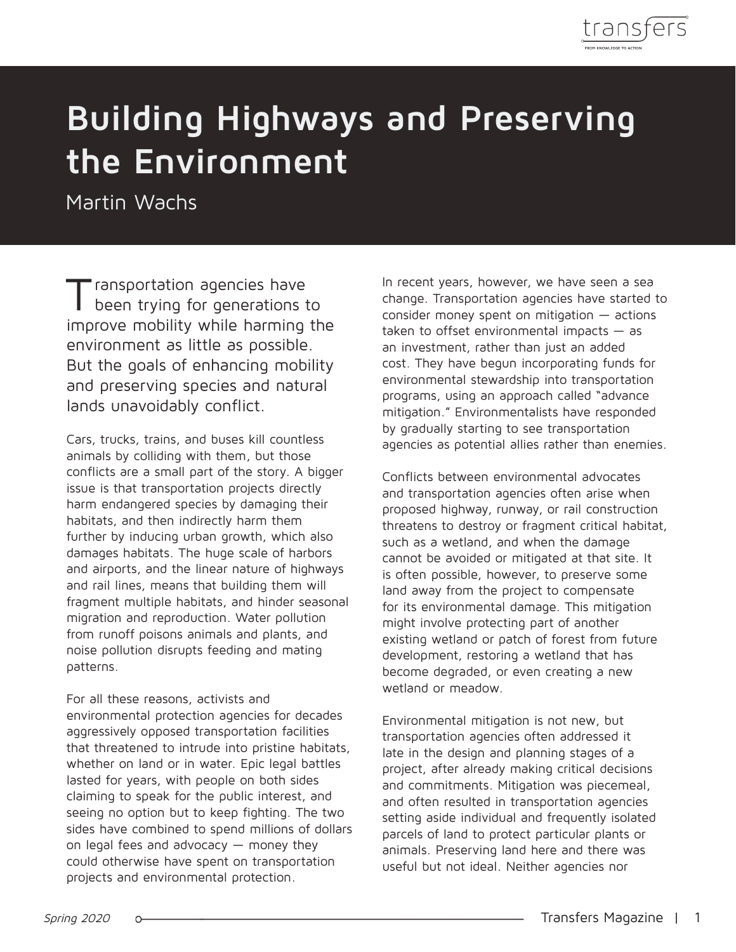

# **Building Highways and Preserving the Environment**

Martin Wachs

Transportation agencies have been trying for generations to improve mobility while harming the environment as little as possible. But the goals of enhancing mobility and preserving species and natural lands unavoidably conflict.

Cars, trucks, trains, and buses kill countless animals by colliding with them, but those conflicts are a small part of the story. A bigger issue is that transportation projects directly harm endangered species by damaging their habitats, and then indirectly harm them further by inducing urban growth, which also damages habitats. The huge scale of harbors and airports, and the linear nature of highways and rail lines, means that building them will fragment multiple habitats, and hinder seasonal migration and reproduction. Water pollution from runoff poisons animals and plants, and noise pollution disrupts feeding and mating patterns.

For all these reasons, activists and environmental protection agencies for decades aggressively opposed transportation facilities that threatened to intrude into pristine habitats, whether on land or in water. Epic legal battles lasted for years, with people on both sides claiming to speak for the public interest, and seeing no option but to keep fighting. The two sides have combined to spend millions of dollars on legal fees and advocacy — money they could otherwise have spent on transportation projects and environmental protection.

In recent years, however, we have seen a sea change. Transportation agencies have started to consider money spent on mitigation  $-$  actions taken to offset environmental impacts  $-$  as an investment, rather than just an added cost. They have begun incorporating funds for environmental stewardship into transportation programs, using an approach called "advance mitigation." Environmentalists have responded by gradually starting to see transportation agencies as potential allies rather than enemies.

Conflicts between environmental advocates and transportation agencies often arise when proposed highway, runway, or rail construction threatens to destroy or fragment critical habitat, such as a wetland, and when the damage cannot be avoided or mitigated at that site. It is often possible, however, to preserve some land away from the project to compensate for its environmental damage. This mitigation might involve protecting part of another existing wetland or patch of forest from future development, restoring a wetland that has become degraded, or even creating a new wetland or meadow.

Environmental mitigation is not new, but transportation agencies often addressed it late in the design and planning stages of a project, after already making critical decisions and commitments. Mitigation was piecemeal, and often resulted in transportation agencies setting aside individual and frequently isolated parcels of land to protect particular plants or animals. Preserving land here and there was useful but not ideal. Neither agencies nor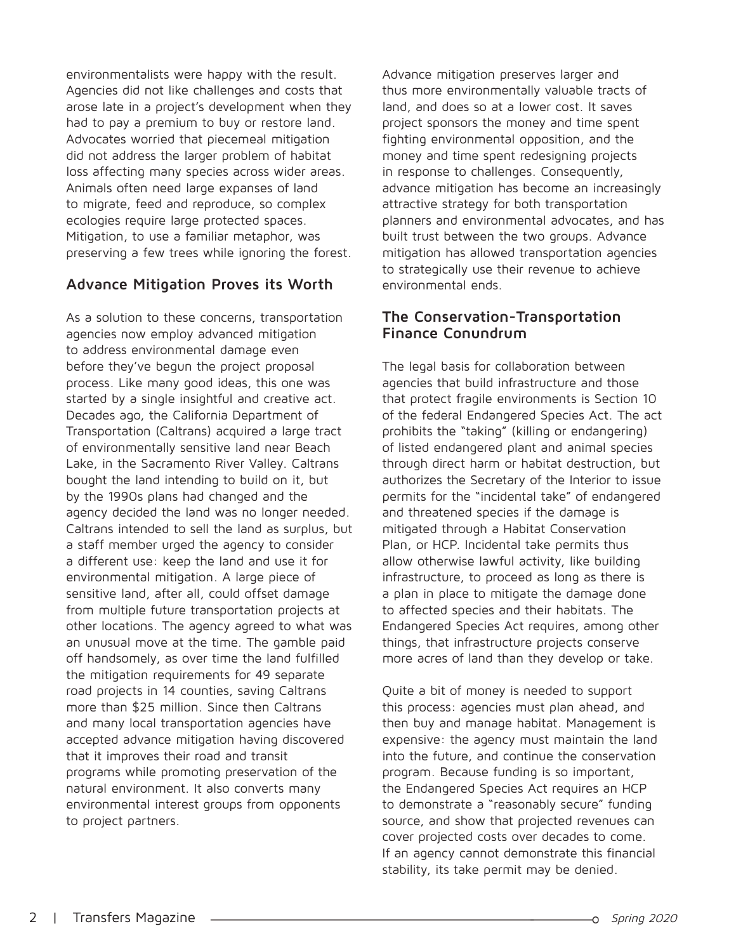environmentalists were happy with the result. Agencies did not like challenges and costs that arose late in a project's development when they had to pay a premium to buy or restore land. Advocates worried that piecemeal mitigation did not address the larger problem of habitat loss affecting many species across wider areas. Animals often need large expanses of land to migrate, feed and reproduce, so complex ecologies require large protected spaces. Mitigation, to use a familiar metaphor, was preserving a few trees while ignoring the forest.

## **Advance Mitigation Proves its Worth**

As a solution to these concerns, transportation agencies now employ advanced mitigation to address environmental damage even before they've begun the project proposal process. Like many good ideas, this one was started by a single insightful and creative act. Decades ago, the California Department of Transportation (Caltrans) acquired a large tract of environmentally sensitive land near Beach Lake, in the Sacramento River Valley. Caltrans bought the land intending to build on it, but by the 1990s plans had changed and the agency decided the land was no longer needed. Caltrans intended to sell the land as surplus, but a staff member urged the agency to consider a different use: keep the land and use it for environmental mitigation. A large piece of sensitive land, after all, could offset damage from multiple future transportation projects at other locations. The agency agreed to what was an unusual move at the time. The gamble paid off handsomely, as over time the land fulfilled the mitigation requirements for 49 separate road projects in 14 counties, saving Caltrans more than \$25 million. Since then Caltrans and many local transportation agencies have accepted advance mitigation having discovered that it improves their road and transit programs while promoting preservation of the natural environment. It also converts many environmental interest groups from opponents to project partners.

Advance mitigation preserves larger and thus more environmentally valuable tracts of land, and does so at a lower cost. It saves project sponsors the money and time spent fighting environmental opposition, and the money and time spent redesigning projects in response to challenges. Consequently, advance mitigation has become an increasingly attractive strategy for both transportation planners and environmental advocates, and has built trust between the two groups. Advance mitigation has allowed transportation agencies to strategically use their revenue to achieve environmental ends.

#### **The Conservation-Transportation Finance Conundrum**

The legal basis for collaboration between agencies that build infrastructure and those that protect fragile environments is Section 10 of the federal Endangered Species Act. The act prohibits the "taking" (killing or endangering) of listed endangered plant and animal species through direct harm or habitat destruction, but authorizes the Secretary of the Interior to issue permits for the "incidental take" of endangered and threatened species if the damage is mitigated through a Habitat Conservation Plan, or HCP. Incidental take permits thus allow otherwise lawful activity, like building infrastructure, to proceed as long as there is a plan in place to mitigate the damage done to affected species and their habitats. The Endangered Species Act requires, among other things, that infrastructure projects conserve more acres of land than they develop or take.

Quite a bit of money is needed to support this process: agencies must plan ahead, and then buy and manage habitat. Management is expensive: the agency must maintain the land into the future, and continue the conservation program. Because funding is so important, the Endangered Species Act requires an HCP to demonstrate a "reasonably secure" funding source, and show that projected revenues can cover projected costs over decades to come. If an agency cannot demonstrate this financial stability, its take permit may be denied.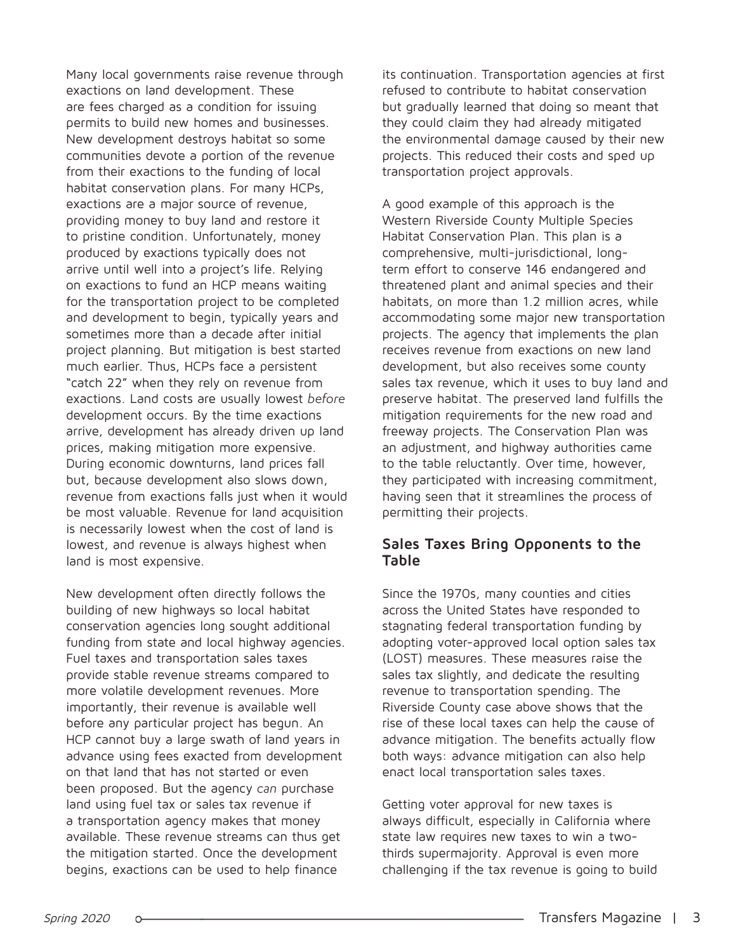Many local governments raise revenue through exactions on land development. These are fees charged as a condition for issuing permits to build new homes and businesses. New development destroys habitat so some communities devote a portion of the revenue from their exactions to the funding of local habitat conservation plans. For many HCPs, exactions are a major source of revenue, providing money to buy land and restore it to pristine condition. Unfortunately, money produced by exactions typically does not arrive until well into a project's life. Relying on exactions to fund an HCP means waiting for the transportation project to be completed and development to begin, typically years and sometimes more than a decade after initial project planning. But mitigation is best started much earlier. Thus, HCPs face a persistent "catch 22" when they rely on revenue from exactions. Land costs are usually lowest *before* development occurs. By the time exactions arrive, development has already driven up land prices, making mitigation more expensive. During economic downturns, land prices fall but, because development also slows down, revenue from exactions falls just when it would be most valuable. Revenue for land acquisition is necessarily lowest when the cost of land is lowest, and revenue is always highest when land is most expensive.

New development often directly follows the building of new highways so local habitat conservation agencies long sought additional funding from state and local highway agencies. Fuel taxes and transportation sales taxes provide stable revenue streams compared to more volatile development revenues. More importantly, their revenue is available well before any particular project has begun. An HCP cannot buy a large swath of land years in advance using fees exacted from development on that land that has not started or even been proposed. But the agency *can* purchase land using fuel tax or sales tax revenue if a transportation agency makes that money available. These revenue streams can thus get the mitigation started. Once the development begins, exactions can be used to help finance

its continuation. Transportation agencies at first refused to contribute to habitat conservation but gradually learned that doing so meant that they could claim they had already mitigated the environmental damage caused by their new projects. This reduced their costs and sped up transportation project approvals.

A good example of this approach is the Western Riverside County Multiple Species Habitat Conservation Plan. This plan is a comprehensive, multi-jurisdictional, longterm effort to conserve 146 endangered and threatened plant and animal species and their habitats, on more than 1.2 million acres, while accommodating some major new transportation projects. The agency that implements the plan receives revenue from exactions on new land development, but also receives some county sales tax revenue, which it uses to buy land and preserve habitat. The preserved land fulfills the mitigation requirements for the new road and freeway projects. The Conservation Plan was an adjustment, and highway authorities came to the table reluctantly. Over time, however, they participated with increasing commitment, having seen that it streamlines the process of permitting their projects.

#### **Sales Taxes Bring Opponents to the Table**

Since the 1970s, many counties and cities across the United States have responded to stagnating federal transportation funding by adopting voter-approved local option sales tax (LOST) measures. These measures raise the sales tax slightly, and dedicate the resulting revenue to transportation spending. The Riverside County case above shows that the rise of these local taxes can help the cause of advance mitigation. The benefits actually flow both ways: advance mitigation can also help enact local transportation sales taxes.

Getting voter approval for new taxes is always difficult, especially in California where state law requires new taxes to win a twothirds supermajority. Approval is even more challenging if the tax revenue is going to build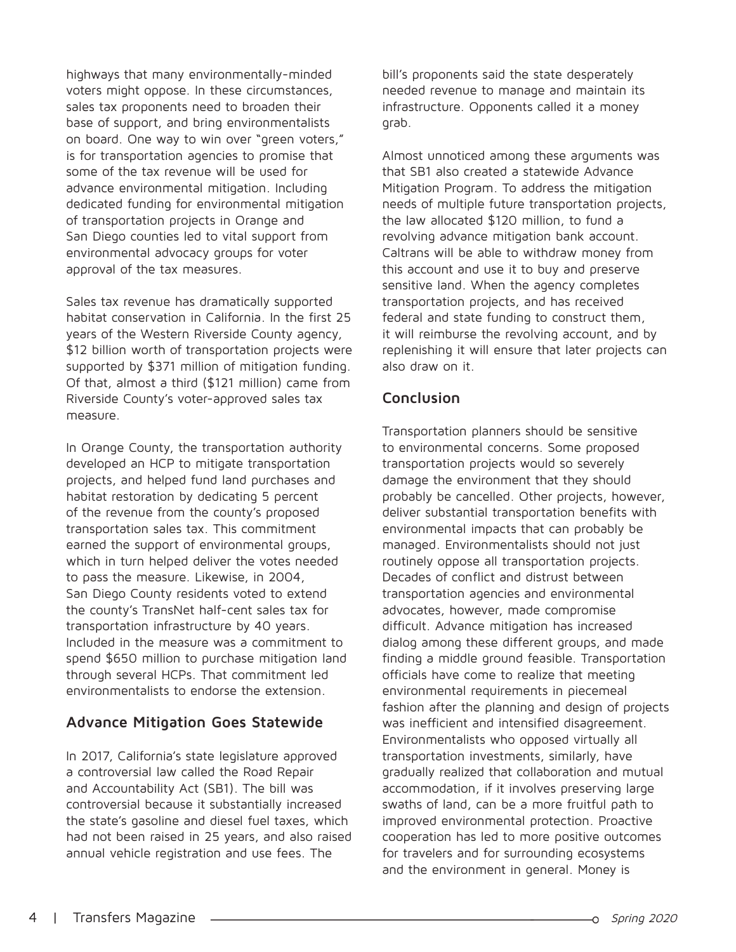highways that many environmentally-minded voters might oppose. In these circumstances, sales tax proponents need to broaden their base of support, and bring environmentalists on board. One way to win over "green voters," is for transportation agencies to promise that some of the tax revenue will be used for advance environmental mitigation. Including dedicated funding for environmental mitigation of transportation projects in Orange and San Diego counties led to vital support from environmental advocacy groups for voter approval of the tax measures.

Sales tax revenue has dramatically supported habitat conservation in California. In the first 25 years of the Western Riverside County agency, \$12 billion worth of transportation projects were supported by \$371 million of mitigation funding. Of that, almost a third (\$121 million) came from Riverside County's voter-approved sales tax measure.

In Orange County, the transportation authority developed an HCP to mitigate transportation projects, and helped fund land purchases and habitat restoration by dedicating 5 percent of the revenue from the county's proposed transportation sales tax. This commitment earned the support of environmental groups, which in turn helped deliver the votes needed to pass the measure. Likewise, in 2004, San Diego County residents voted to extend the county's TransNet half-cent sales tax for transportation infrastructure by 40 years. Included in the measure was a commitment to spend \$650 million to purchase mitigation land through several HCPs. That commitment led environmentalists to endorse the extension.

## **Advance Mitigation Goes Statewide**

In 2017, California's state legislature approved a controversial law called the Road Repair and Accountability Act (SB1). The bill was controversial because it substantially increased the state's gasoline and diesel fuel taxes, which had not been raised in 25 years, and also raised annual vehicle registration and use fees. The

bill's proponents said the state desperately needed revenue to manage and maintain its infrastructure. Opponents called it a money grab.

Almost unnoticed among these arguments was that SB1 also created a statewide Advance Mitigation Program. To address the mitigation needs of multiple future transportation projects, the law allocated \$120 million, to fund a revolving advance mitigation bank account. Caltrans will be able to withdraw money from this account and use it to buy and preserve sensitive land. When the agency completes transportation projects, and has received federal and state funding to construct them, it will reimburse the revolving account, and by replenishing it will ensure that later projects can also draw on it.

## **Conclusion**

Transportation planners should be sensitive to environmental concerns. Some proposed transportation projects would so severely damage the environment that they should probably be cancelled. Other projects, however, deliver substantial transportation benefits with environmental impacts that can probably be managed. Environmentalists should not just routinely oppose all transportation projects. Decades of conflict and distrust between transportation agencies and environmental advocates, however, made compromise difficult. Advance mitigation has increased dialog among these different groups, and made finding a middle ground feasible. Transportation officials have come to realize that meeting environmental requirements in piecemeal fashion after the planning and design of projects was inefficient and intensified disagreement. Environmentalists who opposed virtually all transportation investments, similarly, have gradually realized that collaboration and mutual accommodation, if it involves preserving large swaths of land, can be a more fruitful path to improved environmental protection. Proactive cooperation has led to more positive outcomes for travelers and for surrounding ecosystems and the environment in general. Money is